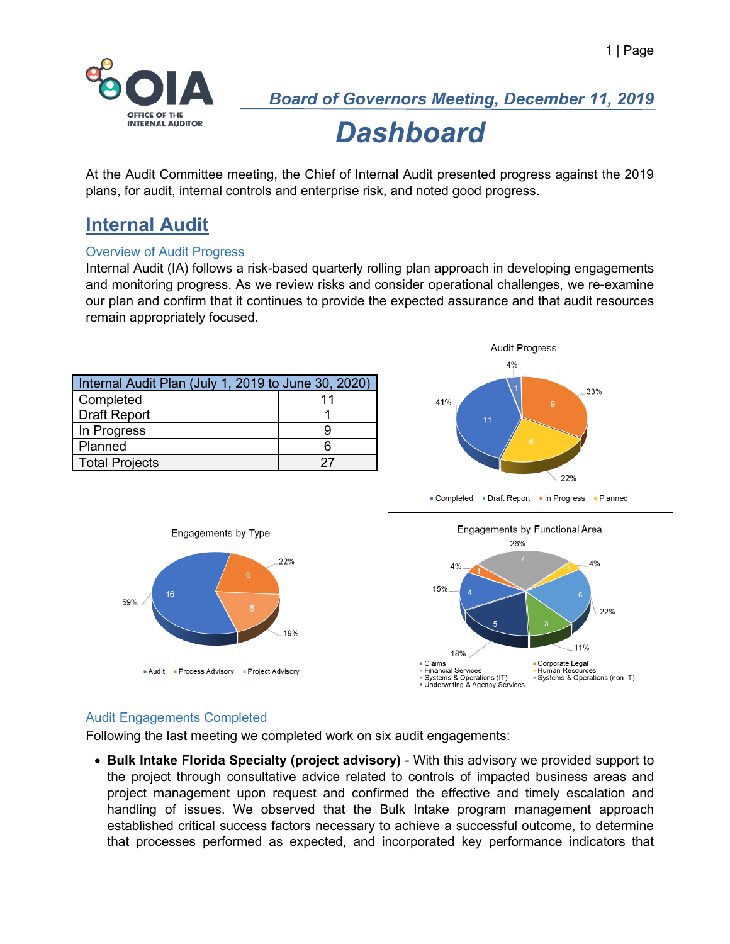

At the Audit Committee meeting, the Chief of Internal Audit presented progress against the 2019 plans, for audit, internal controls and enterprise risk, and noted good progress.

## **Internal Audit**

#### Overview of Audit Progress

Internal Audit (IA) follows a risk-based quarterly rolling plan approach in developing engagements and monitoring progress. As we review risks and consider operational challenges, we re-examine our plan and confirm that it continues to provide the expected assurance and that audit resources remain appropriately focused.

| Internal Audit Plan (July 1, 2019 to June 30, 2020) |    |  |
|-----------------------------------------------------|----|--|
| Completed                                           | 11 |  |
| Draft Report                                        |    |  |
| In Progress                                         |    |  |
| Planned                                             |    |  |
| <b>Total Projects</b>                               |    |  |



- Completed - Draft Report - In Progress - Planned



#### Audit Engagements Completed

Following the last meeting we completed work on six audit engagements:

• **Bulk Intake Florida Specialty (project advisory)** - With this advisory we provided support to the project through consultative advice related to controls of impacted business areas and project management upon request and confirmed the effective and timely escalation and handling of issues. We observed that the Bulk Intake program management approach established critical success factors necessary to achieve a successful outcome, to determine that processes performed as expected, and incorporated key performance indicators that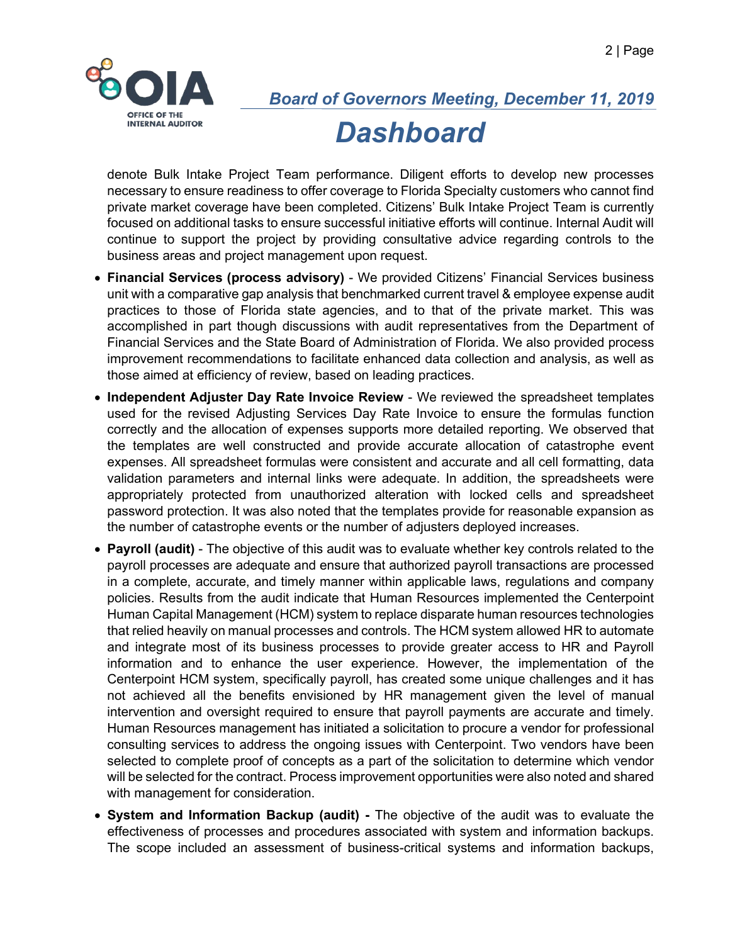

denote Bulk Intake Project Team performance. Diligent efforts to develop new processes necessary to ensure readiness to offer coverage to Florida Specialty customers who cannot find private market coverage have been completed. Citizens' Bulk Intake Project Team is currently focused on additional tasks to ensure successful initiative efforts will continue. Internal Audit will continue to support the project by providing consultative advice regarding controls to the business areas and project management upon request.

- **Financial Services (process advisory)** We provided Citizens' Financial Services business unit with a comparative gap analysis that benchmarked current travel & employee expense audit practices to those of Florida state agencies, and to that of the private market. This was accomplished in part though discussions with audit representatives from the Department of Financial Services and the State Board of Administration of Florida. We also provided process improvement recommendations to facilitate enhanced data collection and analysis, as well as those aimed at efficiency of review, based on leading practices.
- **Independent Adjuster Day Rate Invoice Review** We reviewed the spreadsheet templates used for the revised Adjusting Services Day Rate Invoice to ensure the formulas function correctly and the allocation of expenses supports more detailed reporting. We observed that the templates are well constructed and provide accurate allocation of catastrophe event expenses. All spreadsheet formulas were consistent and accurate and all cell formatting, data validation parameters and internal links were adequate. In addition, the spreadsheets were appropriately protected from unauthorized alteration with locked cells and spreadsheet password protection. It was also noted that the templates provide for reasonable expansion as the number of catastrophe events or the number of adjusters deployed increases.
- **Payroll (audit)** The objective of this audit was to evaluate whether key controls related to the payroll processes are adequate and ensure that authorized payroll transactions are processed in a complete, accurate, and timely manner within applicable laws, regulations and company policies. Results from the audit indicate that Human Resources implemented the Centerpoint Human Capital Management (HCM) system to replace disparate human resources technologies that relied heavily on manual processes and controls. The HCM system allowed HR to automate and integrate most of its business processes to provide greater access to HR and Payroll information and to enhance the user experience. However, the implementation of the Centerpoint HCM system, specifically payroll, has created some unique challenges and it has not achieved all the benefits envisioned by HR management given the level of manual intervention and oversight required to ensure that payroll payments are accurate and timely. Human Resources management has initiated a solicitation to procure a vendor for professional consulting services to address the ongoing issues with Centerpoint. Two vendors have been selected to complete proof of concepts as a part of the solicitation to determine which vendor will be selected for the contract. Process improvement opportunities were also noted and shared with management for consideration.
- **System and Information Backup (audit) -** The objective of the audit was to evaluate the effectiveness of processes and procedures associated with system and information backups. The scope included an assessment of business-critical systems and information backups,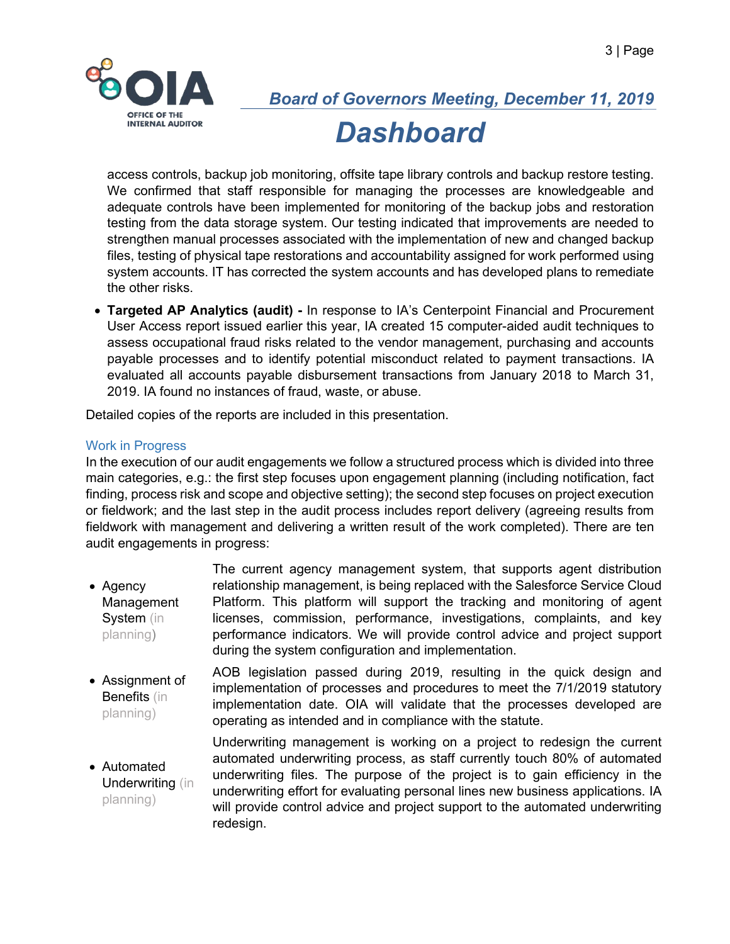

access controls, backup job monitoring, offsite tape library controls and backup restore testing. We confirmed that staff responsible for managing the processes are knowledgeable and adequate controls have been implemented for monitoring of the backup jobs and restoration testing from the data storage system. Our testing indicated that improvements are needed to strengthen manual processes associated with the implementation of new and changed backup files, testing of physical tape restorations and accountability assigned for work performed using system accounts. IT has corrected the system accounts and has developed plans to remediate the other risks.

• **Targeted AP Analytics (audit) -** In response to IA's Centerpoint Financial and Procurement User Access report issued earlier this year, IA created 15 computer-aided audit techniques to assess occupational fraud risks related to the vendor management, purchasing and accounts payable processes and to identify potential misconduct related to payment transactions. IA evaluated all accounts payable disbursement transactions from January 2018 to March 31, 2019. IA found no instances of fraud, waste, or abuse.

Detailed copies of the reports are included in this presentation.

#### Work in Progress

In the execution of our audit engagements we follow a structured process which is divided into three main categories, e.g.: the first step focuses upon engagement planning (including notification, fact finding, process risk and scope and objective setting); the second step focuses on project execution or fieldwork; and the last step in the audit process includes report delivery (agreeing results from fieldwork with management and delivering a written result of the work completed). There are ten audit engagements in progress:

- Agency Management System (in planning) The current agency management system, that supports agent distribution relationship management, is being replaced with the Salesforce Service Cloud Platform. This platform will support the tracking and monitoring of agent licenses, commission, performance, investigations, complaints, and key performance indicators. We will provide control advice and project support during the system configuration and implementation.
- Assignment of Benefits (in planning) AOB legislation passed during 2019, resulting in the quick design and implementation of processes and procedures to meet the 7/1/2019 statutory implementation date. OIA will validate that the processes developed are operating as intended and in compliance with the statute.
- Automated Underwriting (in planning) Underwriting management is working on a project to redesign the current automated underwriting process, as staff currently touch 80% of automated underwriting files. The purpose of the project is to gain efficiency in the underwriting effort for evaluating personal lines new business applications. IA will provide control advice and project support to the automated underwriting redesign.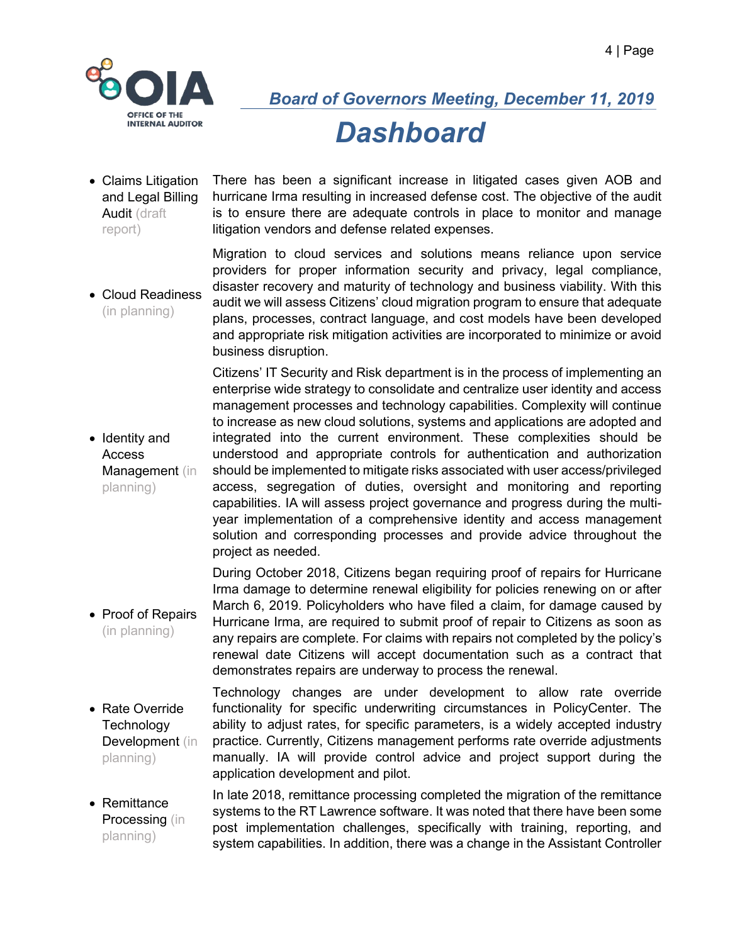

• Claims Litigation and Legal Billing Audit (draft report) There has been a significant increase in litigated cases given AOB and hurricane Irma resulting in increased defense cost. The objective of the audit is to ensure there are adequate controls in place to monitor and manage litigation vendors and defense related expenses.

• Cloud Readiness (in planning) Migration to cloud services and solutions means reliance upon service providers for proper information security and privacy, legal compliance, disaster recovery and maturity of technology and business viability. With this audit we will assess Citizens' cloud migration program to ensure that adequate plans, processes, contract language, and cost models have been developed and appropriate risk mitigation activities are incorporated to minimize or avoid business disruption.

> Citizens' IT Security and Risk department is in the process of implementing an enterprise wide strategy to consolidate and centralize user identity and access management processes and technology capabilities. Complexity will continue to increase as new cloud solutions, systems and applications are adopted and integrated into the current environment. These complexities should be understood and appropriate controls for authentication and authorization should be implemented to mitigate risks associated with user access/privileged access, segregation of duties, oversight and monitoring and reporting capabilities. IA will assess project governance and progress during the multiyear implementation of a comprehensive identity and access management solution and corresponding processes and provide advice throughout the project as needed.

• Proof of Repairs (in planning) During October 2018, Citizens began requiring proof of repairs for Hurricane Irma damage to determine renewal eligibility for policies renewing on or after March 6, 2019. Policyholders who have filed a claim, for damage caused by Hurricane Irma, are required to submit proof of repair to Citizens as soon as any repairs are complete. For claims with repairs not completed by the policy's renewal date Citizens will accept documentation such as a contract that demonstrates repairs are underway to process the renewal.

- Rate Override **Technology** Development (in planning) Technology changes are under development to allow rate override functionality for specific underwriting circumstances in PolicyCenter. The ability to adjust rates, for specific parameters, is a widely accepted industry practice. Currently, Citizens management performs rate override adjustments manually. IA will provide control advice and project support during the application development and pilot.
- Remittance Processing (in planning) In late 2018, remittance processing completed the migration of the remittance systems to the RT Lawrence software. It was noted that there have been some post implementation challenges, specifically with training, reporting, and system capabilities. In addition, there was a change in the Assistant Controller

• Identity and Access Management (in planning)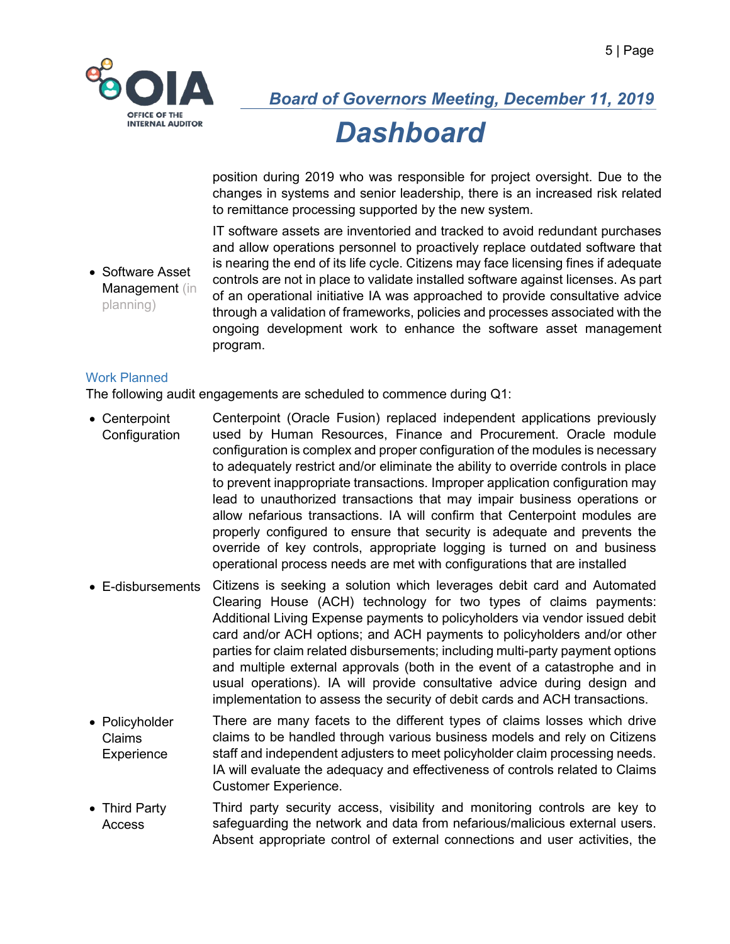

position during 2019 who was responsible for project oversight. Due to the changes in systems and senior leadership, there is an increased risk related to remittance processing supported by the new system.

IT software assets are inventoried and tracked to avoid redundant purchases and allow operations personnel to proactively replace outdated software that is nearing the end of its life cycle. Citizens may face licensing fines if adequate controls are not in place to validate installed software against licenses. As part of an operational initiative IA was approached to provide consultative advice through a validation of frameworks, policies and processes associated with the ongoing development work to enhance the software asset management program.

#### Work Planned

planning)

• Software Asset Management (in

The following audit engagements are scheduled to commence during Q1:

- Centerpoint **Configuration** Centerpoint (Oracle Fusion) replaced independent applications previously used by Human Resources, Finance and Procurement. Oracle module configuration is complex and proper configuration of the modules is necessary to adequately restrict and/or eliminate the ability to override controls in place to prevent inappropriate transactions. Improper application configuration may lead to unauthorized transactions that may impair business operations or allow nefarious transactions. IA will confirm that Centerpoint modules are properly configured to ensure that security is adequate and prevents the override of key controls, appropriate logging is turned on and business operational process needs are met with configurations that are installed
- E-disbursements Citizens is seeking a solution which leverages debit card and Automated Clearing House (ACH) technology for two types of claims payments: Additional Living Expense payments to policyholders via vendor issued debit card and/or ACH options; and ACH payments to policyholders and/or other parties for claim related disbursements; including multi-party payment options and multiple external approvals (both in the event of a catastrophe and in usual operations). IA will provide consultative advice during design and implementation to assess the security of debit cards and ACH transactions.
- Policyholder Claims **Experience** There are many facets to the different types of claims losses which drive claims to be handled through various business models and rely on Citizens staff and independent adjusters to meet policyholder claim processing needs. IA will evaluate the adequacy and effectiveness of controls related to Claims Customer Experience.
- Third Party Access Third party security access, visibility and monitoring controls are key to safeguarding the network and data from nefarious/malicious external users. Absent appropriate control of external connections and user activities, the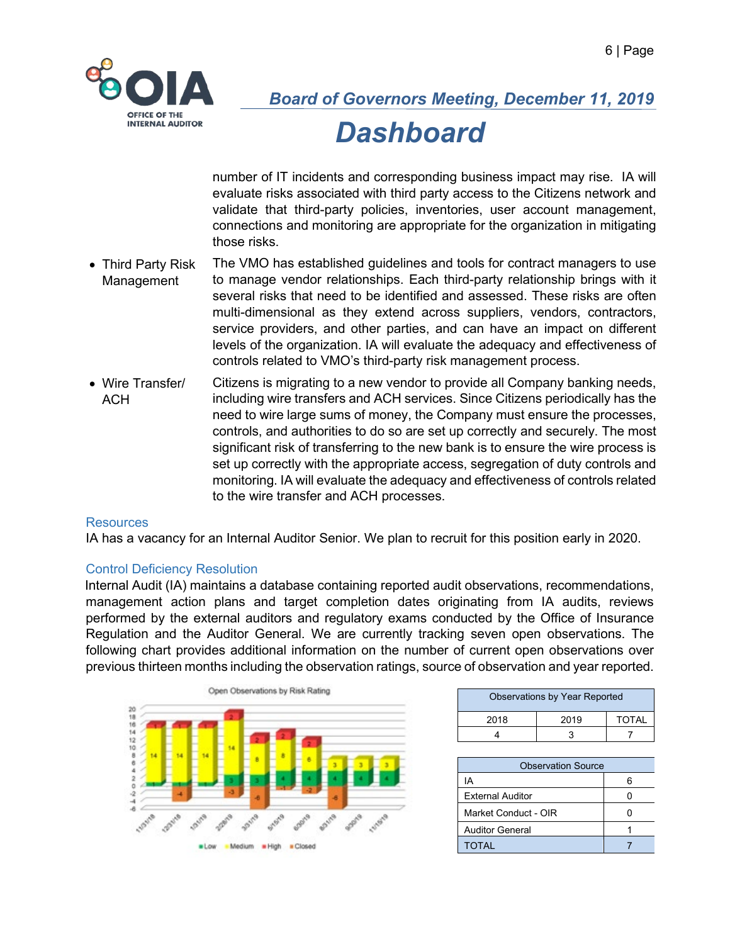

number of IT incidents and corresponding business impact may rise. IA will evaluate risks associated with third party access to the Citizens network and validate that third-party policies, inventories, user account management, connections and monitoring are appropriate for the organization in mitigating those risks.

- Third Party Risk Management The VMO has established guidelines and tools for contract managers to use to manage vendor relationships. Each third-party relationship brings with it several risks that need to be identified and assessed. These risks are often multi-dimensional as they extend across suppliers, vendors, contractors, service providers, and other parties, and can have an impact on different levels of the organization. IA will evaluate the adequacy and effectiveness of controls related to VMO's third-party risk management process.
- Wire Transfer/ **ACH** Citizens is migrating to a new vendor to provide all Company banking needs, including wire transfers and ACH services. Since Citizens periodically has the need to wire large sums of money, the Company must ensure the processes, controls, and authorities to do so are set up correctly and securely. The most significant risk of transferring to the new bank is to ensure the wire process is set up correctly with the appropriate access, segregation of duty controls and monitoring. IA will evaluate the adequacy and effectiveness of controls related to the wire transfer and ACH processes.

#### Resources

IA has a vacancy for an Internal Auditor Senior. We plan to recruit for this position early in 2020.

#### Control Deficiency Resolution

Internal Audit (IA) maintains a database containing reported audit observations, recommendations, management action plans and target completion dates originating from IA audits, reviews performed by the external auditors and regulatory exams conducted by the Office of Insurance Regulation and the Auditor General. We are currently tracking seven open observations. The following chart provides additional information on the number of current open observations over previous thirteen months including the observation ratings, source of observation and year reported.



| <b>Observations by Year Reported</b> |      |              |  |
|--------------------------------------|------|--------------|--|
| 2018                                 | 2019 | <b>TOTAL</b> |  |
|                                      |      |              |  |

| <b>Observation Source</b> |  |  |
|---------------------------|--|--|
| IΑ                        |  |  |
| <b>External Auditor</b>   |  |  |
| Market Conduct - OIR      |  |  |
| <b>Auditor General</b>    |  |  |
| TOTAL                     |  |  |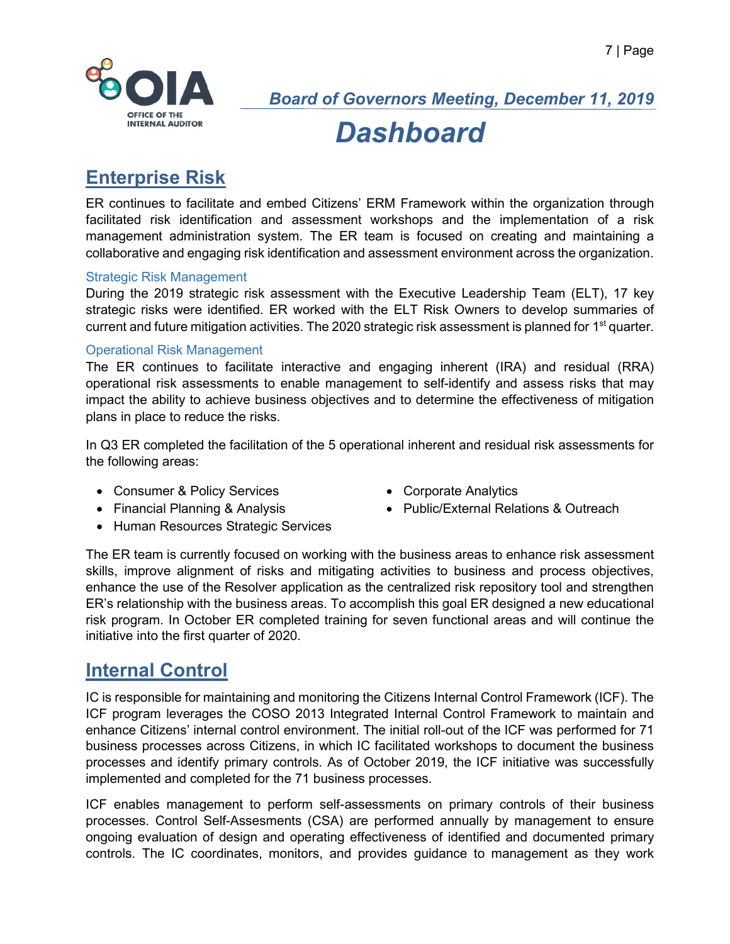

*Board of Governors Meeting, December 11, 2019*

## *Dashboard*

## **Enterprise Risk**

ER continues to facilitate and embed Citizens' ERM Framework within the organization through facilitated risk identification and assessment workshops and the implementation of a risk management administration system. The ER team is focused on creating and maintaining a collaborative and engaging risk identification and assessment environment across the organization.

#### Strategic Risk Management

During the 2019 strategic risk assessment with the Executive Leadership Team (ELT), 17 key strategic risks were identified. ER worked with the ELT Risk Owners to develop summaries of current and future mitigation activities. The 2020 strategic risk assessment is planned for 1<sup>st</sup> quarter.

#### Operational Risk Management

The ER continues to facilitate interactive and engaging inherent (IRA) and residual (RRA) operational risk assessments to enable management to self-identify and assess risks that may impact the ability to achieve business objectives and to determine the effectiveness of mitigation plans in place to reduce the risks.

In Q3 ER completed the facilitation of the 5 operational inherent and residual risk assessments for the following areas:

- Consumer & Policy Services Corporate Analytics
- 
- Financial Planning & Analysis Public/External Relations & Outreach
	-
- Human Resources Strategic Services

The ER team is currently focused on working with the business areas to enhance risk assessment skills, improve alignment of risks and mitigating activities to business and process objectives, enhance the use of the Resolver application as the centralized risk repository tool and strengthen ER's relationship with the business areas. To accomplish this goal ER designed a new educational risk program. In October ER completed training for seven functional areas and will continue the initiative into the first quarter of 2020.

### **Internal Control**

IC is responsible for maintaining and monitoring the Citizens Internal Control Framework (ICF). The ICF program leverages the COSO 2013 Integrated Internal Control Framework to maintain and enhance Citizens' internal control environment. The initial roll-out of the ICF was performed for 71 business processes across Citizens, in which IC facilitated workshops to document the business processes and identify primary controls. As of October 2019, the ICF initiative was successfully implemented and completed for the 71 business processes.

ICF enables management to perform self-assessments on primary controls of their business processes. Control Self-Assesments (CSA) are performed annually by management to ensure ongoing evaluation of design and operating effectiveness of identified and documented primary controls. The IC coordinates, monitors, and provides guidance to management as they work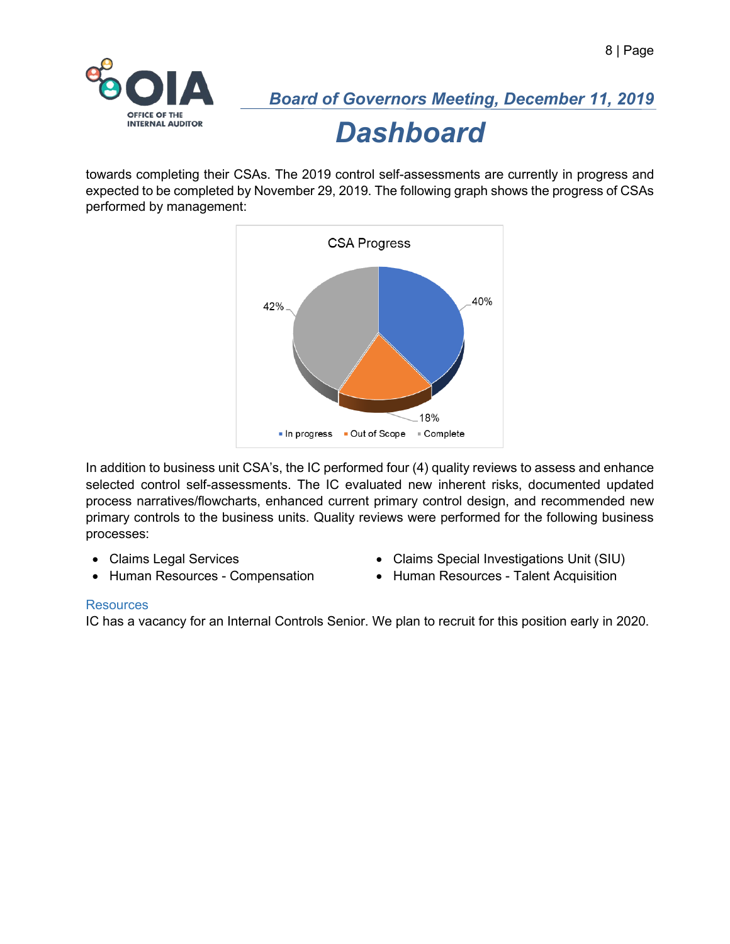

*Board of Governors Meeting, December 11, 2019*

*Dashboard*

towards completing their CSAs. The 2019 control self-assessments are currently in progress and expected to be completed by November 29, 2019. The following graph shows the progress of CSAs performed by management:



In addition to business unit CSA's, the IC performed four (4) quality reviews to assess and enhance selected control self-assessments. The IC evaluated new inherent risks, documented updated process narratives/flowcharts, enhanced current primary control design, and recommended new primary controls to the business units. Quality reviews were performed for the following business processes:

- 
- Claims Legal Services Claims Special Investigations Unit (SIU)
- Human Resources Compensation Human Resources Talent Acquisition
- 

#### **Resources**

IC has a vacancy for an Internal Controls Senior. We plan to recruit for this position early in 2020.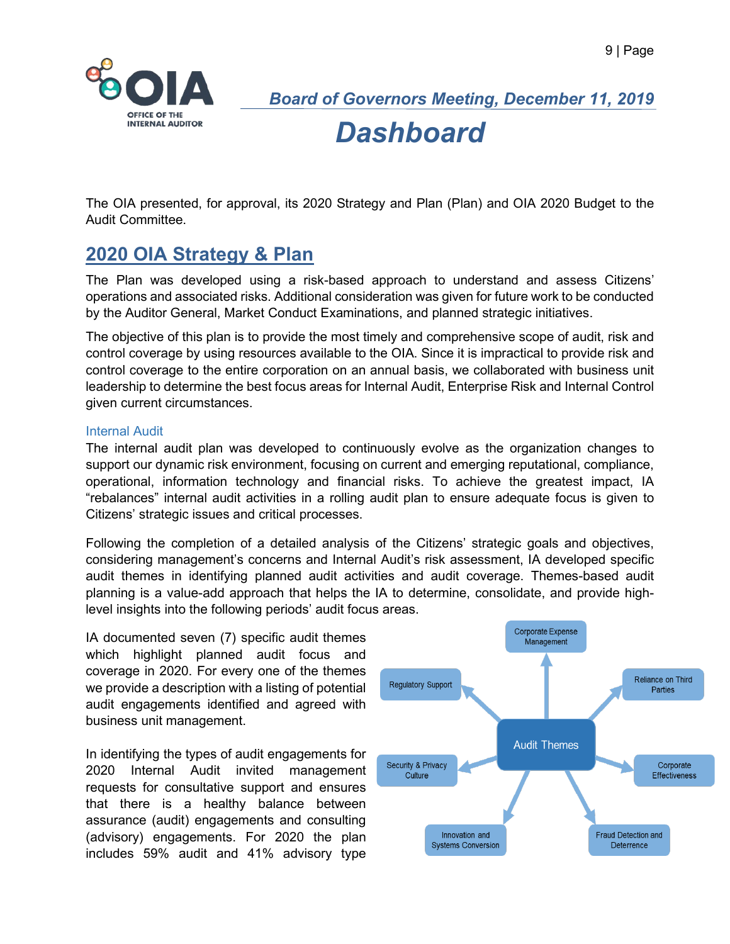

*Board of Governors Meeting, December 11, 2019*

*Dashboard*

The OIA presented, for approval, its 2020 Strategy and Plan (Plan) and OIA 2020 Budget to the Audit Committee.

### **2020 OIA Strategy & Plan**

The Plan was developed using a risk-based approach to understand and assess Citizens' operations and associated risks. Additional consideration was given for future work to be conducted by the Auditor General, Market Conduct Examinations, and planned strategic initiatives.

The objective of this plan is to provide the most timely and comprehensive scope of audit, risk and control coverage by using resources available to the OIA. Since it is impractical to provide risk and control coverage to the entire corporation on an annual basis, we collaborated with business unit leadership to determine the best focus areas for Internal Audit, Enterprise Risk and Internal Control given current circumstances.

#### Internal Audit

The internal audit plan was developed to continuously evolve as the organization changes to support our dynamic risk environment, focusing on current and emerging reputational, compliance, operational, information technology and financial risks. To achieve the greatest impact, IA "rebalances" internal audit activities in a rolling audit plan to ensure adequate focus is given to Citizens' strategic issues and critical processes.

Following the completion of a detailed analysis of the Citizens' strategic goals and objectives, considering management's concerns and Internal Audit's risk assessment, IA developed specific audit themes in identifying planned audit activities and audit coverage. Themes-based audit planning is a value-add approach that helps the IA to determine, consolidate, and provide highlevel insights into the following periods' audit focus areas.

IA documented seven (7) specific audit themes which highlight planned audit focus and coverage in 2020. For every one of the themes we provide a description with a listing of potential audit engagements identified and agreed with business unit management.

In identifying the types of audit engagements for 2020 Internal Audit invited management requests for consultative support and ensures that there is a healthy balance between assurance (audit) engagements and consulting (advisory) engagements. For 2020 the plan includes 59% audit and 41% advisory type

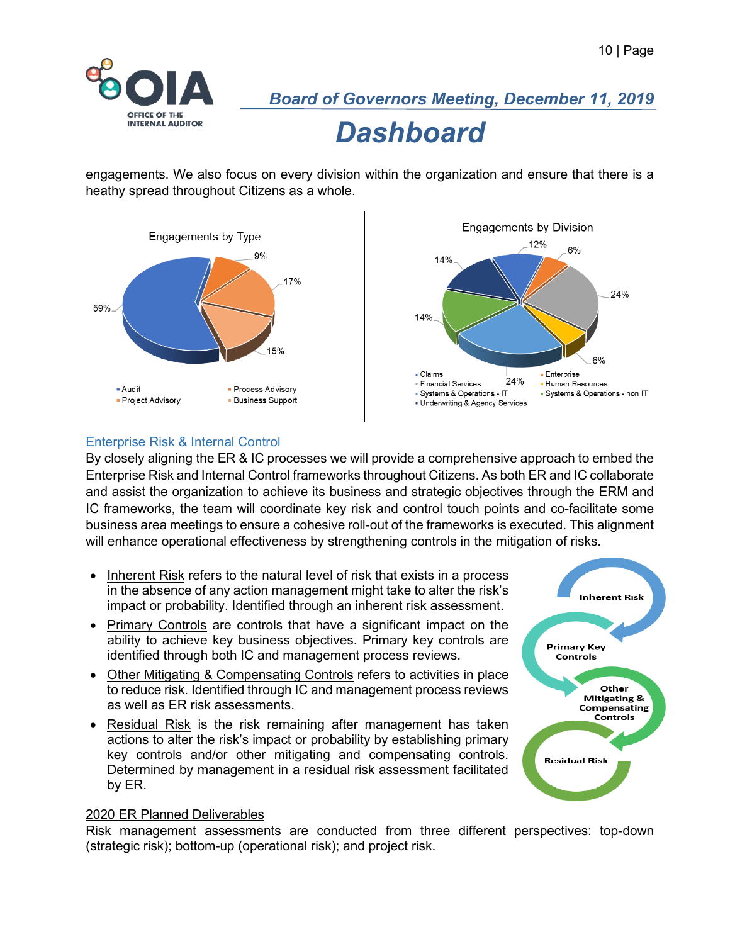

engagements. We also focus on every division within the organization and ensure that there is a heathy spread throughout Citizens as a whole.





#### Enterprise Risk & Internal Control

By closely aligning the ER & IC processes we will provide a comprehensive approach to embed the Enterprise Risk and Internal Control frameworks throughout Citizens. As both ER and IC collaborate and assist the organization to achieve its business and strategic objectives through the ERM and IC frameworks, the team will coordinate key risk and control touch points and co-facilitate some business area meetings to ensure a cohesive roll-out of the frameworks is executed. This alignment will enhance operational effectiveness by strengthening controls in the mitigation of risks.

- Inherent Risk refers to the natural level of risk that exists in a process in the absence of any action management might take to alter the risk's impact or probability. Identified through an inherent risk assessment.
- Primary Controls are controls that have a significant impact on the ability to achieve key business objectives. Primary key controls are identified through both IC and management process reviews.
- Other Mitigating & Compensating Controls refers to activities in place to reduce risk. Identified through IC and management process reviews as well as ER risk assessments.
- Residual Risk is the risk remaining after management has taken actions to alter the risk's impact or probability by establishing primary key controls and/or other mitigating and compensating controls. Determined by management in a residual risk assessment facilitated by ER.



#### 2020 ER Planned Deliverables

Risk management assessments are conducted from three different perspectives: top-down (strategic risk); bottom-up (operational risk); and project risk.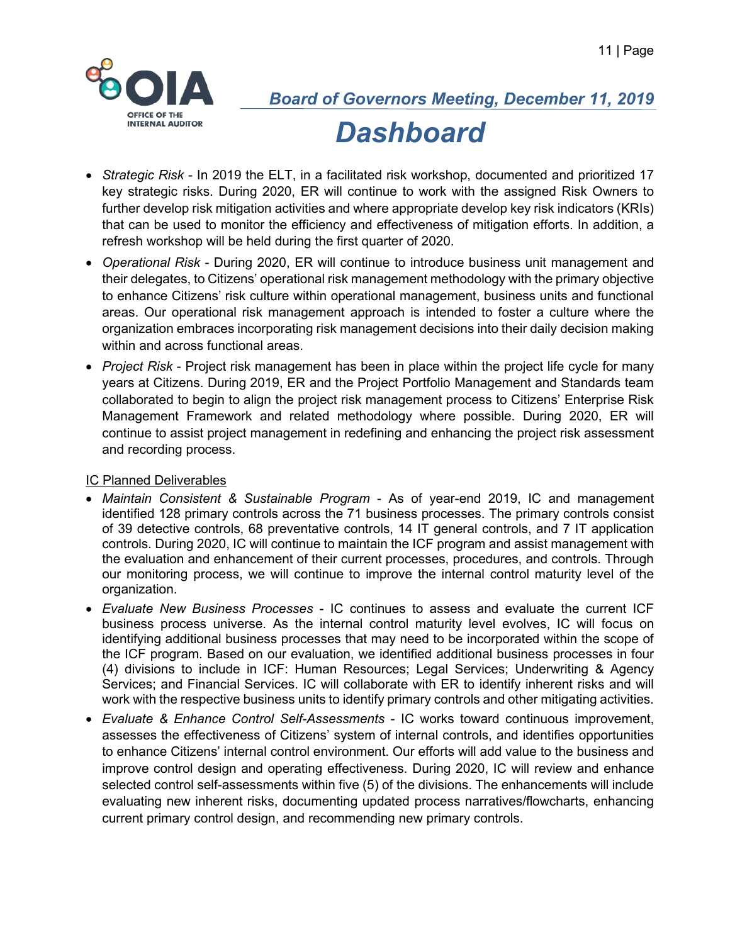

- *Strategic Risk* In 2019 the ELT, in a facilitated risk workshop, documented and prioritized 17 key strategic risks. During 2020, ER will continue to work with the assigned Risk Owners to further develop risk mitigation activities and where appropriate develop key risk indicators (KRIs) that can be used to monitor the efficiency and effectiveness of mitigation efforts. In addition, a refresh workshop will be held during the first quarter of 2020.
- *Operational Risk* During 2020, ER will continue to introduce business unit management and their delegates, to Citizens' operational risk management methodology with the primary objective to enhance Citizens' risk culture within operational management, business units and functional areas. Our operational risk management approach is intended to foster a culture where the organization embraces incorporating risk management decisions into their daily decision making within and across functional areas.
- *Project Risk* Project risk management has been in place within the project life cycle for many years at Citizens. During 2019, ER and the Project Portfolio Management and Standards team collaborated to begin to align the project risk management process to Citizens' Enterprise Risk Management Framework and related methodology where possible. During 2020, ER will continue to assist project management in redefining and enhancing the project risk assessment and recording process.

#### IC Planned Deliverables

- *Maintain Consistent & Sustainable Program* As of year-end 2019, IC and management identified 128 primary controls across the 71 business processes. The primary controls consist of 39 detective controls, 68 preventative controls, 14 IT general controls, and 7 IT application controls. During 2020, IC will continue to maintain the ICF program and assist management with the evaluation and enhancement of their current processes, procedures, and controls. Through our monitoring process, we will continue to improve the internal control maturity level of the organization.
- *Evaluate New Business Processes* IC continues to assess and evaluate the current ICF business process universe. As the internal control maturity level evolves, IC will focus on identifying additional business processes that may need to be incorporated within the scope of the ICF program. Based on our evaluation, we identified additional business processes in four (4) divisions to include in ICF: Human Resources; Legal Services; Underwriting & Agency Services; and Financial Services. IC will collaborate with ER to identify inherent risks and will work with the respective business units to identify primary controls and other mitigating activities.
- *Evaluate & Enhance Control Self-Assessments* IC works toward continuous improvement, assesses the effectiveness of Citizens' system of internal controls, and identifies opportunities to enhance Citizens' internal control environment. Our efforts will add value to the business and improve control design and operating effectiveness. During 2020, IC will review and enhance selected control self-assessments within five (5) of the divisions. The enhancements will include evaluating new inherent risks, documenting updated process narratives/flowcharts, enhancing current primary control design, and recommending new primary controls.